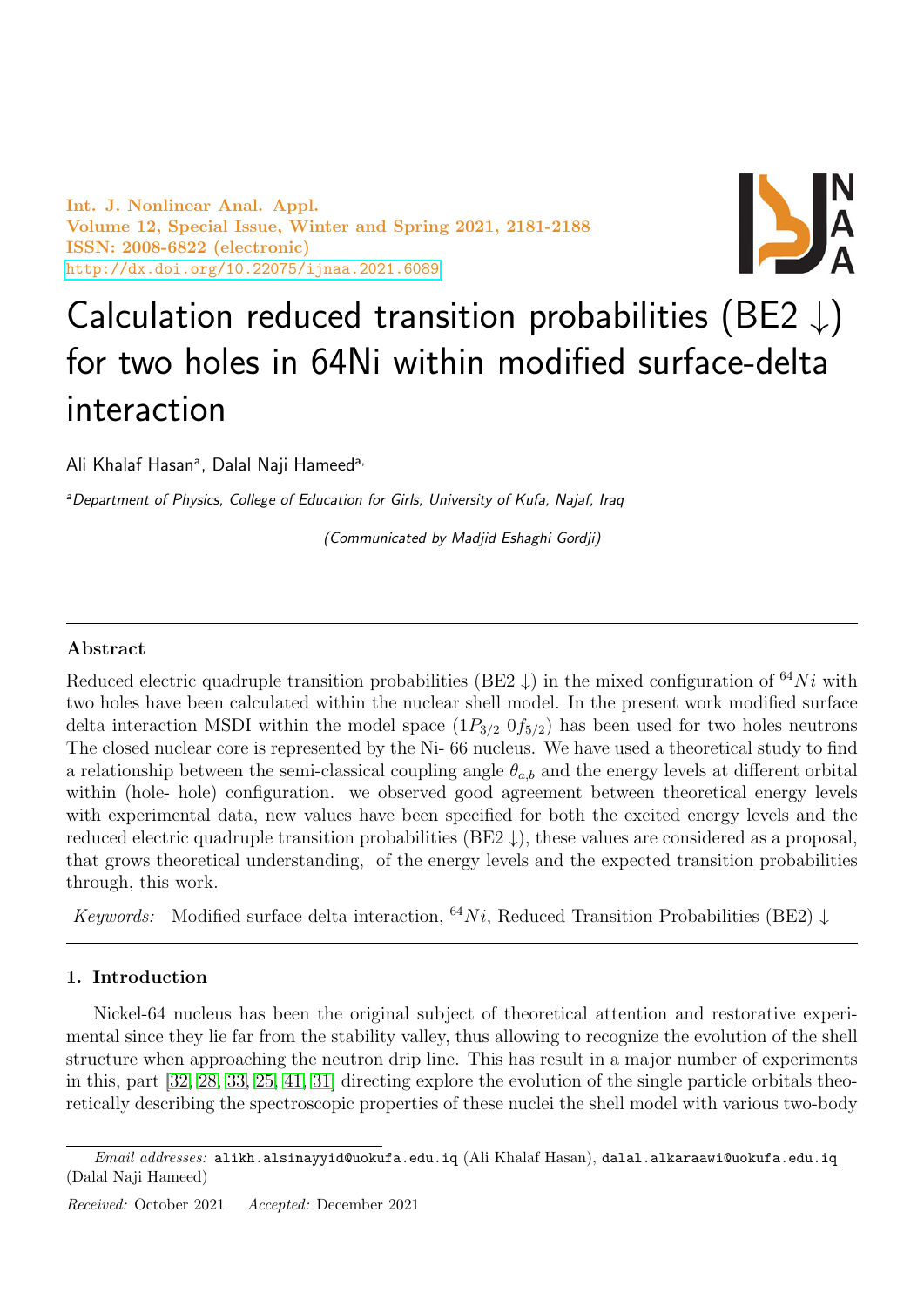Int. J. Nonlinear Anal. Appl. Volume 12, Special Issue, Winter and Spring 2021, 2181-2188 ISSN: 2008-6822 (electronic) <http://dx.doi.org/10.22075/ijnaa.2021.6089>



# Calculation reduced transition probabilities (BE2  $\downarrow$ ) for two holes in 64Ni within modified surface-delta interaction

Ali Khalaf Hasan<sup>a</sup>, Dalal Naji Hameed<sup>a,</sup>

<sup>a</sup>Department of Physics, College of Education for Girls, University of Kufa, Najaf, Iraq

(Communicated by Madjid Eshaghi Gordji)

# Abstract

Reduced electric quadruple transition probabilities (BE2  $\downarrow$ ) in the mixed configuration of <sup>64</sup>Ni with two holes have been calculated within the nuclear shell model. In the present work modified surface delta interaction MSDI within the model space  $(1P_{3/2} 0f_{5/2})$  has been used for two holes neutrons The closed nuclear core is represented by the Ni- 66 nucleus. We have used a theoretical study to find a relationship between the semi-classical coupling angle  $\theta_{a,b}$  and the energy levels at different orbital within (hole- hole) configuration. we observed good agreement between theoretical energy levels with experimental data, new values have been specified for both the excited energy levels and the reduced electric quadruple transition probabilities (BE2  $\downarrow$ ), these values are considered as a proposal, that grows theoretical understanding, of the energy levels and the expected transition probabilities through, this work.

Keywords: Modified surface delta interaction, <sup>64</sup>Ni, Reduced Transition Probabilities (BE2)  $\downarrow$ 

# 1. Introduction

Nickel-64 nucleus has been the original subject of theoretical attention and restorative experimental since they lie far from the stability valley, thus allowing to recognize the evolution of the shell structure when approaching the neutron drip line. This has result in a major number of experiments in this, part [\[32,](#page-7-0) [28,](#page-6-0) [33,](#page-7-1) [25,](#page-6-1) [41,](#page-7-2) [31\]](#page-7-3) directing explore the evolution of the single particle orbitals theoretically describing the spectroscopic properties of these nuclei the shell model with various two-body

 $Email \ addresses: \ alikh.alsinayyid@uokufa.edu.iq (Ali Khalaf Hasan), dalal.alkaraawi@uokufa.edu.iq$ (Dalal Naji Hameed)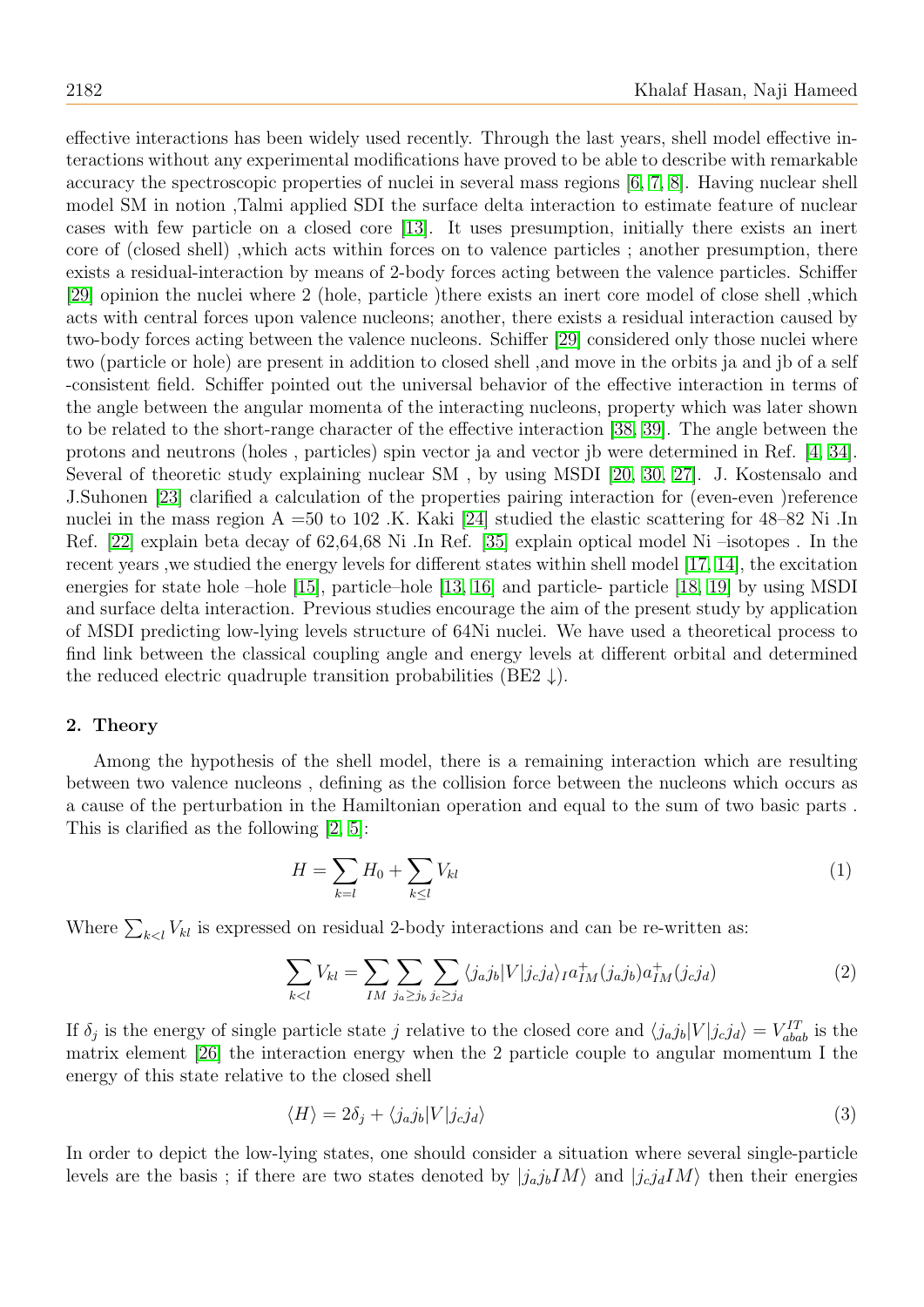effective interactions has been widely used recently. Through the last years, shell model effective interactions without any experimental modifications have proved to be able to describe with remarkable accuracy the spectroscopic properties of nuclei in several mass regions [\[6,](#page-6-2) [7,](#page-6-3) [8\]](#page-6-4). Having nuclear shell model SM in notion ,Talmi applied SDI the surface delta interaction to estimate feature of nuclear cases with few particle on a closed core [\[13\]](#page-6-5). It uses presumption, initially there exists an inert core of (closed shell) ,which acts within forces on to valence particles ; another presumption, there exists a residual-interaction by means of 2-body forces acting between the valence particles. Schiffer [\[29\]](#page-7-4) opinion the nuclei where 2 (hole, particle )there exists an inert core model of close shell ,which acts with central forces upon valence nucleons; another, there exists a residual interaction caused by two-body forces acting between the valence nucleons. Schiffer [\[29\]](#page-7-4) considered only those nuclei where two (particle or hole) are present in addition to closed shell ,and move in the orbits ja and jb of a self -consistent field. Schiffer pointed out the universal behavior of the effective interaction in terms of the angle between the angular momenta of the interacting nucleons, property which was later shown to be related to the short-range character of the effective interaction [\[38,](#page-7-5) [39\]](#page-7-6). The angle between the protons and neutrons (holes , particles) spin vector ja and vector jb were determined in Ref. [\[4,](#page-6-6) [34\]](#page-7-7). Several of theoretic study explaining nuclear SM , by using MSDI [\[20,](#page-6-7) [30,](#page-7-8) [27\]](#page-6-8). J. Kostensalo and J.Suhonen [\[23\]](#page-6-9) clarified a calculation of the properties pairing interaction for (even-even )reference nuclei in the mass region A =50 to 102 .K. Kaki [\[24\]](#page-6-10) studied the elastic scattering for 48–82 Ni .In Ref. [\[22\]](#page-6-11) explain beta decay of 62,64,68 Ni .In Ref. [\[35\]](#page-7-9) explain optical model Ni –isotopes . In the recent years ,we studied the energy levels for different states within shell model [\[17,](#page-6-12) [14\]](#page-6-13), the excitation energies for state hole –hole [\[15\]](#page-6-14), particle–hole [\[13,](#page-6-5) [16\]](#page-6-15) and particle- particle [\[18,](#page-6-16) [19\]](#page-6-17) by using MSDI and surface delta interaction. Previous studies encourage the aim of the present study by application of MSDI predicting low-lying levels structure of 64Ni nuclei. We have used a theoretical process to find link between the classical coupling angle and energy levels at different orbital and determined the reduced electric quadruple transition probabilities (BE2  $\downarrow$ ).

#### 2. Theory

Among the hypothesis of the shell model, there is a remaining interaction which are resulting between two valence nucleons , defining as the collision force between the nucleons which occurs as a cause of the perturbation in the Hamiltonian operation and equal to the sum of two basic parts . This is clarified as the following [\[2,](#page-6-18) [5\]](#page-6-19):

$$
H = \sum_{k=l} H_0 + \sum_{k \le l} V_{kl} \tag{1}
$$

Where  $\sum_{k\leq l} V_{kl}$  is expressed on residual 2-body interactions and can be re-written as:

$$
\sum_{k < l} V_{kl} = \sum_{IM} \sum_{j_a \ge j_b} \sum_{j_c \ge j_d} \langle j_a j_b | V | j_c j_d \rangle_I a_{IM}^+(j_a j_b) a_{IM}^+(j_c j_d) \tag{2}
$$

If  $\delta_j$  is the energy of single particle state j relative to the closed core and  $\langle j_a j_b | V | j_c j_d \rangle = V_{abab}^{IT}$  is the matrix element [\[26\]](#page-6-20) the interaction energy when the 2 particle couple to angular momentum I the energy of this state relative to the closed shell

$$
\langle H \rangle = 2\delta_j + \langle j_a j_b | V | j_c j_d \rangle \tag{3}
$$

In order to depict the low-lying states, one should consider a situation where several single-particle levels are the basis; if there are two states denoted by  $|j_a j_b I M\rangle$  and  $|j_c j_d I M\rangle$  then their energies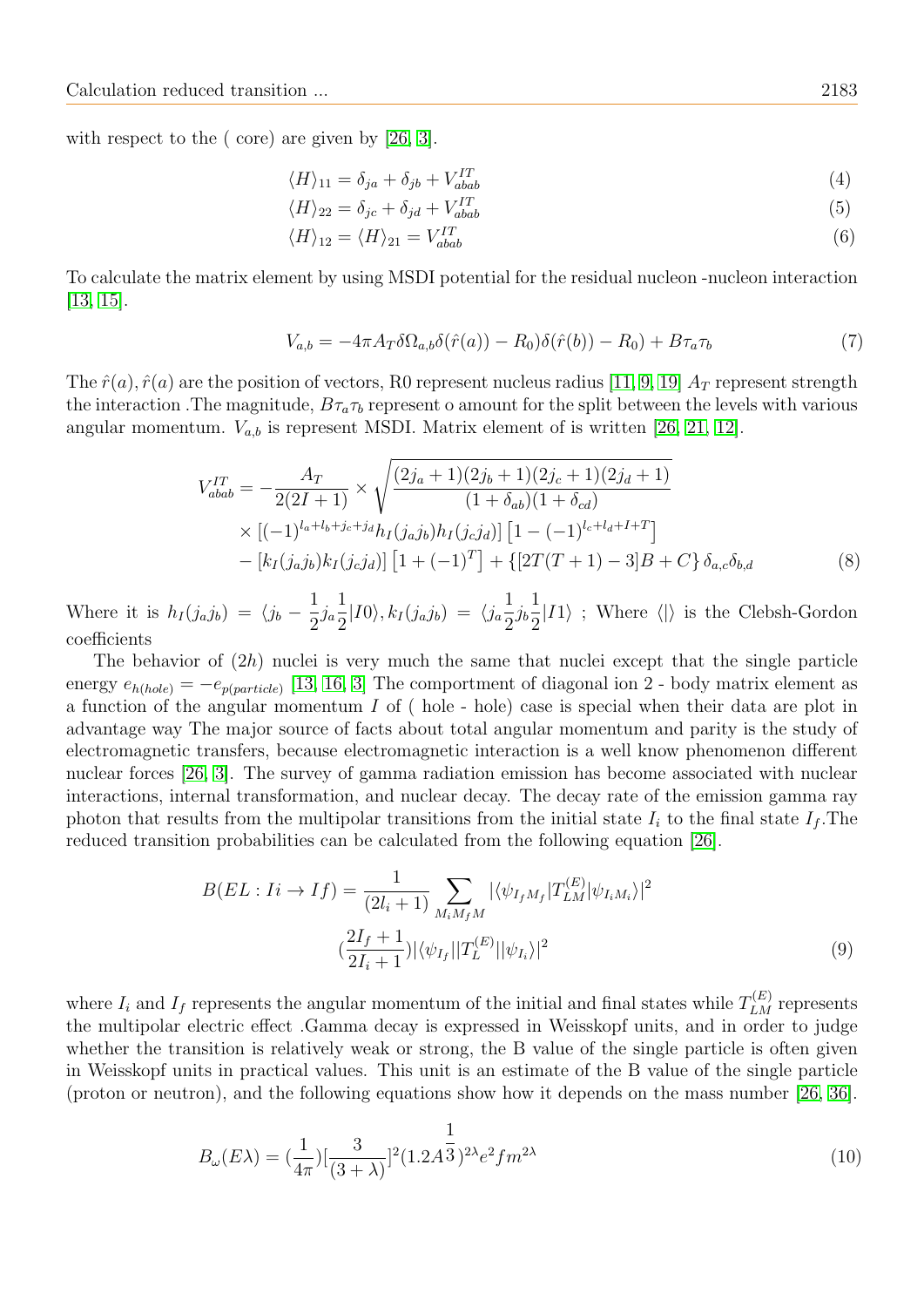with respect to the (core) are given by [\[26,](#page-6-20) [3\]](#page-6-21).

$$
\langle H \rangle_{11} = \delta_{ja} + \delta_{jb} + V_{abab}^{IT} \tag{4}
$$

$$
\langle H \rangle_{22} = \delta_{jc} + \delta_{jd} + V_{abab}^{IT} \tag{5}
$$

$$
\langle H \rangle_{12} = \langle H \rangle_{21} = V_{abab}^{IT} \tag{6}
$$

To calculate the matrix element by using MSDI potential for the residual nucleon -nucleon interaction [\[13,](#page-6-5) [15\]](#page-6-14).

$$
V_{a,b} = -4\pi A_T \delta\Omega_{a,b}\delta(\hat{r}(a)) - R_0\delta(\hat{r}(b)) - R_0 + B\tau_a\tau_b \tag{7}
$$

The  $\hat{r}(a)$ ,  $\hat{r}(a)$  are the position of vectors, R0 represent nucleus radius [\[11,](#page-6-22) [9,](#page-6-23) [19\]](#page-6-17)  $A_T$  represent strength the interaction. The magnitude,  $B\tau_a\tau_b$  represent o amount for the split between the levels with various angular momentum.  $V_{a,b}$  is represent MSDI. Matrix element of is written [\[26,](#page-6-20) [21,](#page-6-24) [12\]](#page-6-25).

$$
V_{abab}^{IT} = -\frac{A_T}{2(2I+1)} \times \sqrt{\frac{(2j_a+1)(2j_b+1)(2j_c+1)(2j_d+1)}{(1+\delta_{ab})(1+\delta_{cd})}}
$$
  
 
$$
\times [(-1)^{l_a+l_b+j_c+j_d} h_I(j_a j_b) h_I(j_c j_d)] [1-(-1)^{l_c+l_d+I+T}]
$$
  
 
$$
- [k_I(j_a j_b) k_I(j_c j_d)] [1+(-1)^T] + \{[2T(T+1) - 3]B + C\} \delta_{a,c} \delta_{b,d}
$$
 (8)

Where it is  $h_I(j_a j_b) = \langle j_b - \frac{1}{2} \rangle$  $\frac{1}{2}j_a$ 1  $\frac{1}{2}|I0\rangle, k_I(j_aj_b) = \langle j_a \frac{1}{2}$  $\frac{1}{2}j_b$ 1 2  $|I1\rangle$ ; Where  $\langle \cdot | \cdot \rangle$  is the Clebsh-Gordon coefficients

The behavior of  $(2h)$  nuclei is very much the same that nuclei except that the single particle energy  $e_{h(hole)} = -e_{p(particle)}$  [\[13,](#page-6-5) [16,](#page-6-15) [3\]](#page-6-21) The comportment of diagonal ion 2 - body matrix element as a function of the angular momentum I of ( hole - hole) case is special when their data are plot in advantage way The major source of facts about total angular momentum and parity is the study of electromagnetic transfers, because electromagnetic interaction is a well know phenomenon different nuclear forces [\[26,](#page-6-20) [3\]](#page-6-21). The survey of gamma radiation emission has become associated with nuclear interactions, internal transformation, and nuclear decay. The decay rate of the emission gamma ray photon that results from the multipolar transitions from the initial state  $I_i$  to the final state  $I_f$ . The reduced transition probabilities can be calculated from the following equation [\[26\]](#page-6-20).

$$
B(EL: Ii \to If) = \frac{1}{(2l_i + 1)} \sum_{M_i M_f M} |\langle \psi_{I_f M_f} | T_{LM}^{(E)} | \psi_{I_i M_i} \rangle|^2
$$

$$
(\frac{2I_f + 1}{2I_i + 1}) |\langle \psi_{I_f} | | T_L^{(E)} | | \psi_{I_i} \rangle|^2
$$
(9)

where  $I_i$  and  $I_f$  represents the angular momentum of the initial and final states while  $T_{LM}^{(E)}$  represents the multipolar electric effect .Gamma decay is expressed in Weisskopf units, and in order to judge whether the transition is relatively weak or strong, the B value of the single particle is often given in Weisskopf units in practical values. This unit is an estimate of the B value of the single particle (proton or neutron), and the following equations show how it depends on the mass number [\[26,](#page-6-20) [36\]](#page-7-10).

$$
B_{\omega}(E\lambda) = \left(\frac{1}{4\pi}\right) \left[\frac{3}{(3+\lambda)}\right]^2 (1.2A^{\frac{1}{3}})^{2\lambda} e^2 f m^{2\lambda} \tag{10}
$$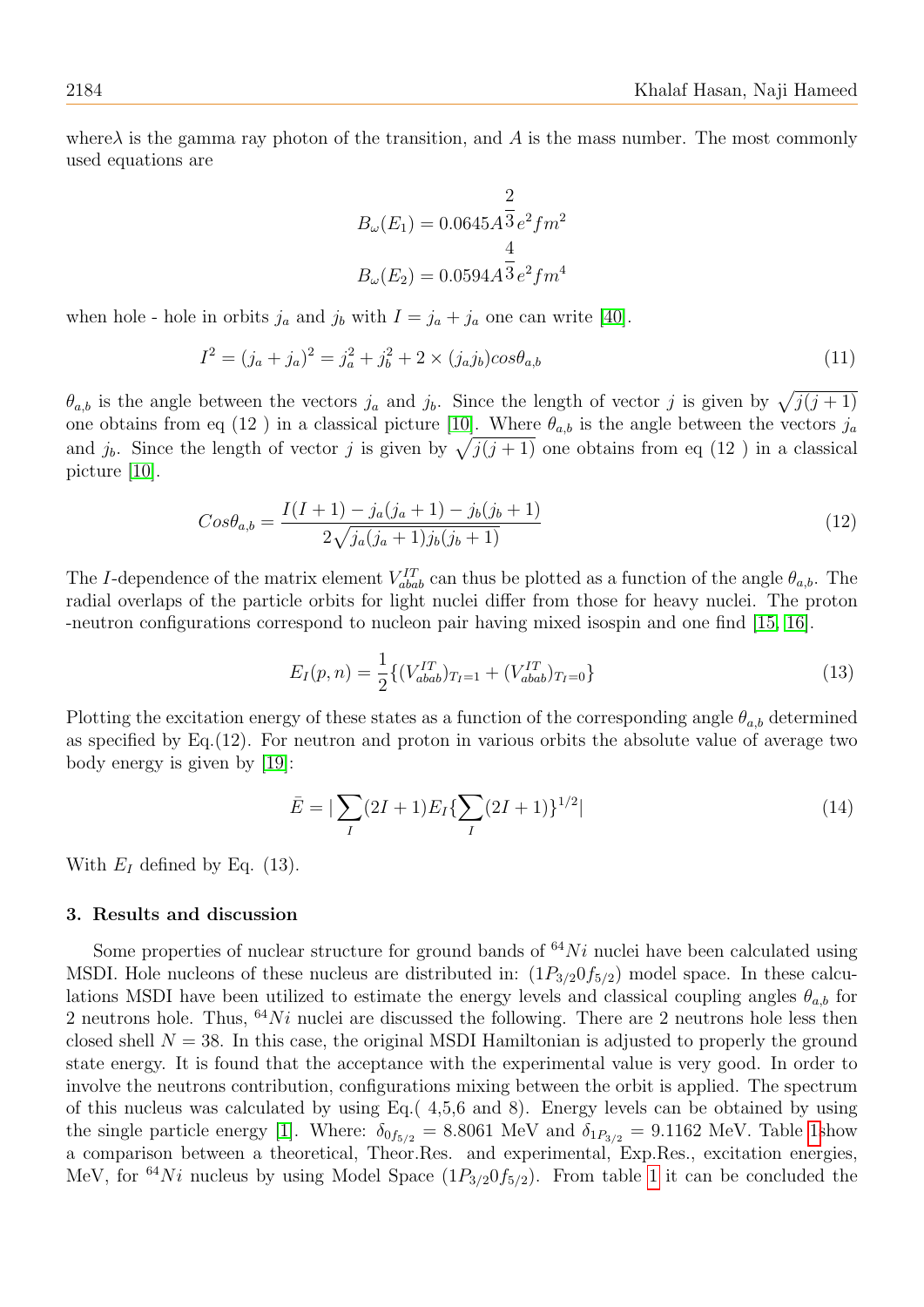where  $\lambda$  is the gamma ray photon of the transition, and A is the mass number. The most commonly used equations are

$$
B_{\omega}(E_1) = 0.0645 A \overline{3} e^2 f m^2
$$

$$
B_{\omega}(E_2) = 0.0594 A \overline{3} e^2 f m^4
$$

when hole - hole in orbits  $j_a$  and  $j_b$  with  $I = j_a + j_a$  one can write [\[40\]](#page-7-11).

$$
I^{2} = (j_{a} + j_{a})^{2} = j_{a}^{2} + j_{b}^{2} + 2 \times (j_{a}j_{b})cos\theta_{a,b}
$$
\n(11)

 $\theta_{a,b}$  is the angle between the vectors  $j_a$  and  $j_b$ . Since the length of vector j is given by  $\sqrt{j(j+1)}$ one obtains from eq (12) in a classical picture [\[10\]](#page-6-26). Where  $\theta_{a,b}$  is the angle between the vectors  $j_a$ and  $j_b$ . Since the length of vector j is given by  $\sqrt{j(j + 1)}$  one obtains from eq (12) in a classical picture [\[10\]](#page-6-26).

$$
Cos\theta_{a,b} = \frac{I(I+1) - j_a(j_a+1) - j_b(j_b+1)}{2\sqrt{j_a(j_a+1)j_b(j_b+1)}}
$$
(12)

The I-dependence of the matrix element  $V_{abab}^{IT}$  can thus be plotted as a function of the angle  $\theta_{a,b}$ . The radial overlaps of the particle orbits for light nuclei differ from those for heavy nuclei. The proton -neutron configurations correspond to nucleon pair having mixed isospin and one find [\[15,](#page-6-14) [16\]](#page-6-15).

$$
E_I(p,n) = \frac{1}{2} \{ (V_{abab}^{IT})_{T_I=1} + (V_{abab}^{IT})_{T_I=0} \}
$$
\n(13)

Plotting the excitation energy of these states as a function of the corresponding angle  $\theta_{a,b}$  determined as specified by Eq.(12). For neutron and proton in various orbits the absolute value of average two body energy is given by [\[19\]](#page-6-17):

$$
\bar{E} = |\sum_{I} (2I+1)E_{I} \{ \sum_{I} (2I+1) \}^{1/2} |
$$
\n(14)

With  $E_I$  defined by Eq. (13).

### 3. Results and discussion

Some properties of nuclear structure for ground bands of  $^{64}Ni$  nuclei have been calculated using MSDI. Hole nucleons of these nucleus are distributed in:  $(1P_{3/2}0f_{5/2})$  model space. In these calculations MSDI have been utilized to estimate the energy levels and classical coupling angles  $\theta_{a,b}$  for 2 neutrons hole. Thus,  $64Ni$  nuclei are discussed the following. There are 2 neutrons hole less then closed shell  $N = 38$ . In this case, the original MSDI Hamiltonian is adjusted to properly the ground state energy. It is found that the acceptance with the experimental value is very good. In order to involve the neutrons contribution, configurations mixing between the orbit is applied. The spectrum of this nucleus was calculated by using Eq.( 4,5,6 and 8). Energy levels can be obtained by using the single particle energy [\[1\]](#page-6-27). Where:  $\delta_{0f_{5/2}} = 8.8061$  MeV and  $\delta_{1P_{3/2}} = 9.1162$  MeV. Table [1s](#page-4-0)how a comparison between a theoretical, Theor.Res. and experimental, Exp.Res., excitation energies, MeV, for <sup>64</sup>Ni nucleus by using Model Space  $(1P_{3/2}0f_{5/2})$ . From table [1](#page-4-0) it can be concluded the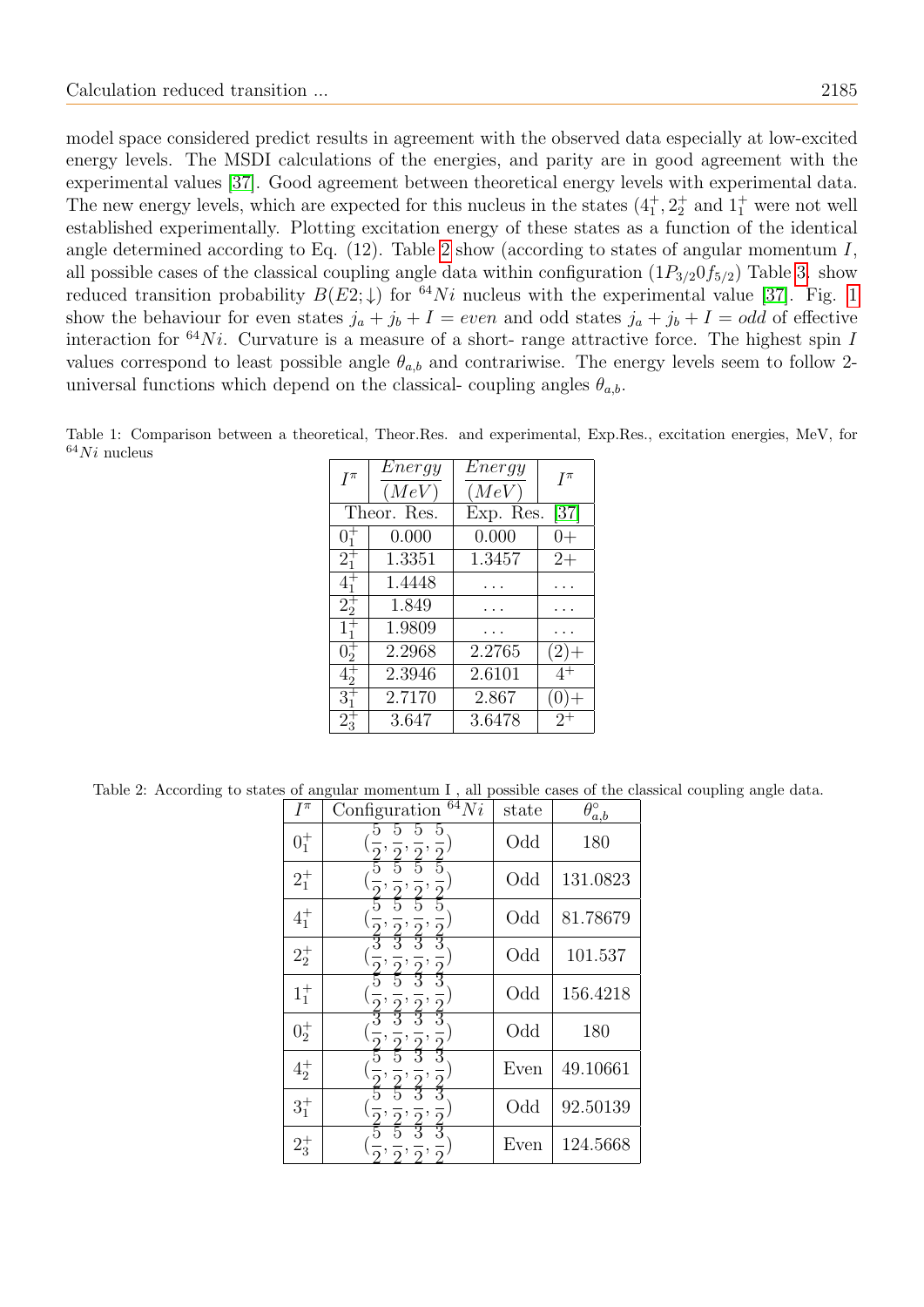model space considered predict results in agreement with the observed data especially at low-excited energy levels. The MSDI calculations of the energies, and parity are in good agreement with the experimental values [\[37\]](#page-7-12). Good agreement between theoretical energy levels with experimental data. The new energy levels, which are expected for this nucleus in the states  $(4^+_1, 2^+_2, 2^+_3)$  and  $(1^+_1, 2^+_2)$ established experimentally. Plotting excitation energy of these states as a function of the identical angle determined according to Eq.  $(12)$ . Table [2](#page-4-1) show (according to states of angular momentum I, all possible cases of the classical coupling angle data within configuration  $(1P_{3/2}0f_{5/2})$  Table [3.](#page-5-0) show reduced transition probability  $B(E2; \downarrow)$  for <sup>64</sup>Ni nucleus with the experimental value [\[37\]](#page-7-12). Fig. [1](#page-5-1) show the behaviour for even states  $j_a + j_b + I = even$  and odd states  $j_a + j_b + I = odd$  of effective interaction for  $64Ni$ . Curvature is a measure of a short- range attractive force. The highest spin I values correspond to least possible angle  $\theta_{a,b}$  and contrariwise. The energy levels seem to follow 2universal functions which depend on the classical- coupling angles  $\theta_{a,b}$ .

<span id="page-4-0"></span>Table 1: Comparison between a theoretical, Theor.Res. and experimental, Exp.Res., excitation energies, MeV, for  $64Ni$  nucleus

| $I^{\pi}$       | $\overline{Energy}$ | $\overline{\mathit{Energy}}$ | $I^{\pi}$ |
|-----------------|---------------------|------------------------------|-----------|
|                 | (MeV)               | (MeV)                        |           |
| Theor. Res.     |                     | [37]<br>Exp. Res.            |           |
| $0^{+}_{1}$     | 0.000               | 0.000                        | $(1 +$    |
| $2^{+}_{1}$     | 1.3351              | 1.3457                       | $2+$      |
| $4^{+}_{1}$     | 1.4448              |                              |           |
| $2^{+}_{2}$     | 1.849               |                              |           |
| $1_{1}^{+}$     | 1.9809              |                              |           |
| $0\overline{5}$ | 2.2968              | 2.2765                       | (2)       |
| $4^{+}_{2}$     | 2.3946              | 2.6101                       | $4^+$     |
| $3^{+}_{1}$     | 2.7170              | 2.867                        |           |
| $2_{3}$         | 3.647               | 3.6478                       | $2^+$     |

<span id="page-4-1"></span>Table 2: According to states of angular momentum I , all possible cases of the classical coupling angle data.

| $I^{\pi}$   | $\overline{^{64}}Ni$<br>Configuration | state | $\theta_{a,b}^{\circ}$ |
|-------------|---------------------------------------|-------|------------------------|
| $0^{+}_{1}$ |                                       | Odd   | 180                    |
| $2^{+}_{1}$ |                                       | Odd   | 131.0823               |
| $4^{+}_{1}$ |                                       | Odd   | 81.78679               |
| $2^{+}_{2}$ |                                       | Odd   | 101.537                |
| $1_1^+$     |                                       | Odd   | 156.4218               |
| $0^+_2$     |                                       | Odd   | 180                    |
| $4^{+}_{2}$ |                                       | Even  | 49.10661               |
| $3^{+}_{1}$ |                                       | Odd   | 92.50139               |
| $2^+_3$     |                                       | Even  | 124.5668               |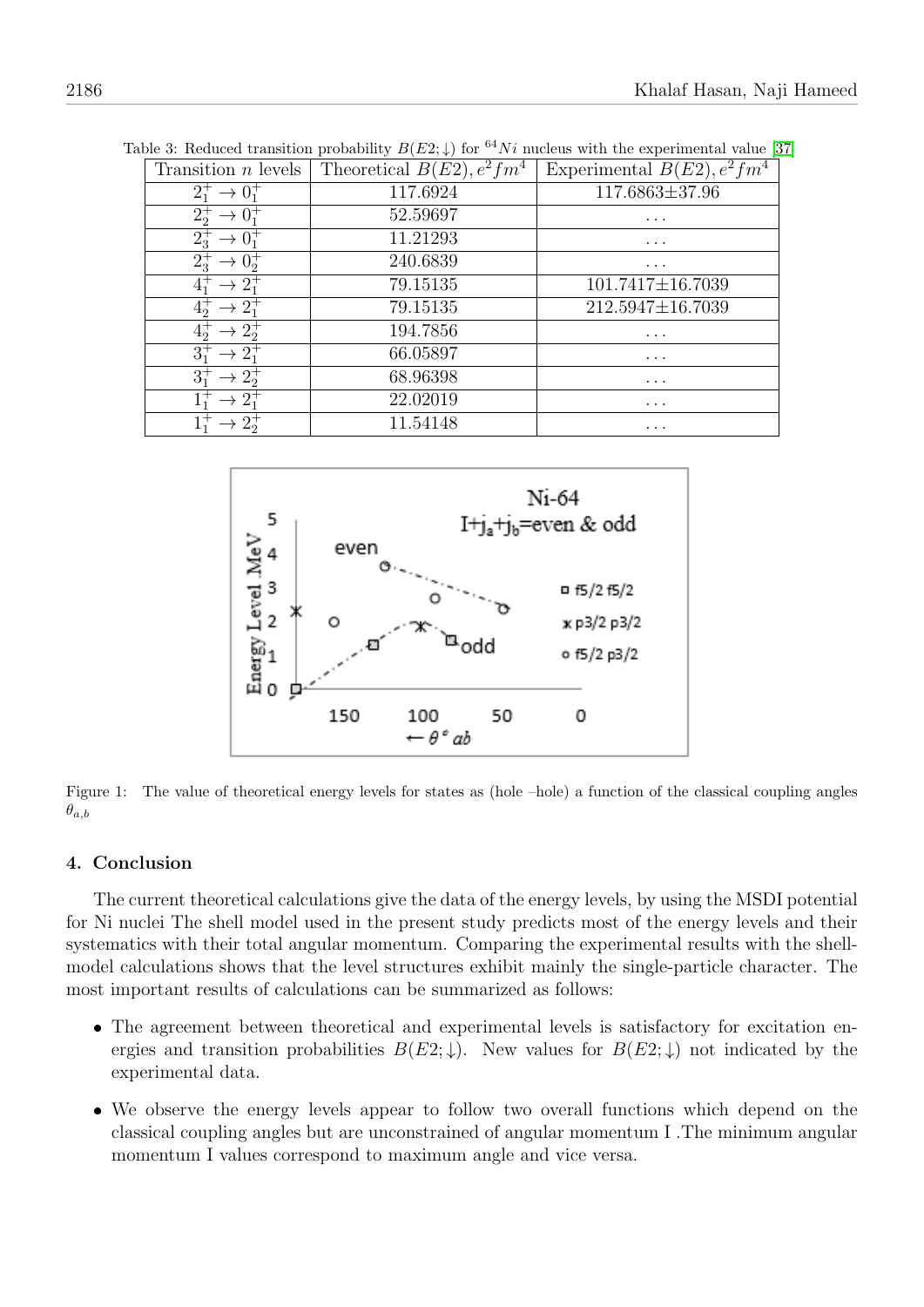| Transition $n$ levels     | Theoretical $B(E2), e^2fm^4$ | Experimental $B(E2), e^2fm^4$ |
|---------------------------|------------------------------|-------------------------------|
|                           | 117.6924                     | $117.6863 \pm 37.96$          |
| $2^{+}_{2}$               | 52.59697                     | $\cdots$                      |
| $2^+_{3}$                 | 11.21293                     | $\cdots$                      |
| $2^+_{3}$                 | 240.6839                     | .                             |
|                           | 79.15135                     | $101.7417 \pm 16.7039$        |
| $4^{\text{-}}_{\text{-}}$ | 79.15135                     | 212.5947±16.7039              |
| $4^{\dagger}_{2}$         | 194.7856                     | .                             |
|                           | 66.05897                     | $\cdots$                      |
|                           | 68.96398                     | .                             |
|                           | 22.02019                     | .                             |
|                           | 11.54148                     | $\cdots$                      |

<span id="page-5-0"></span>Table 3: Reduced transition probability  $B(E2;\downarrow)$  for <sup>64</sup>Ni nucleus with the experimental value [\[37\]](#page-7-12)

<span id="page-5-1"></span>

Figure 1: The value of theoretical energy levels for states as (hole –hole) a function of the classical coupling angles  $\theta_{a,b}$ 

## 4. Conclusion

The current theoretical calculations give the data of the energy levels, by using the MSDI potential for Ni nuclei The shell model used in the present study predicts most of the energy levels and their systematics with their total angular momentum. Comparing the experimental results with the shellmodel calculations shows that the level structures exhibit mainly the single-particle character. The most important results of calculations can be summarized as follows:

- The agreement between theoretical and experimental levels is satisfactory for excitation energies and transition probabilities  $B(E2;\downarrow)$ . New values for  $B(E2;\downarrow)$  not indicated by the experimental data.
- We observe the energy levels appear to follow two overall functions which depend on the classical coupling angles but are unconstrained of angular momentum I .The minimum angular momentum I values correspond to maximum angle and vice versa.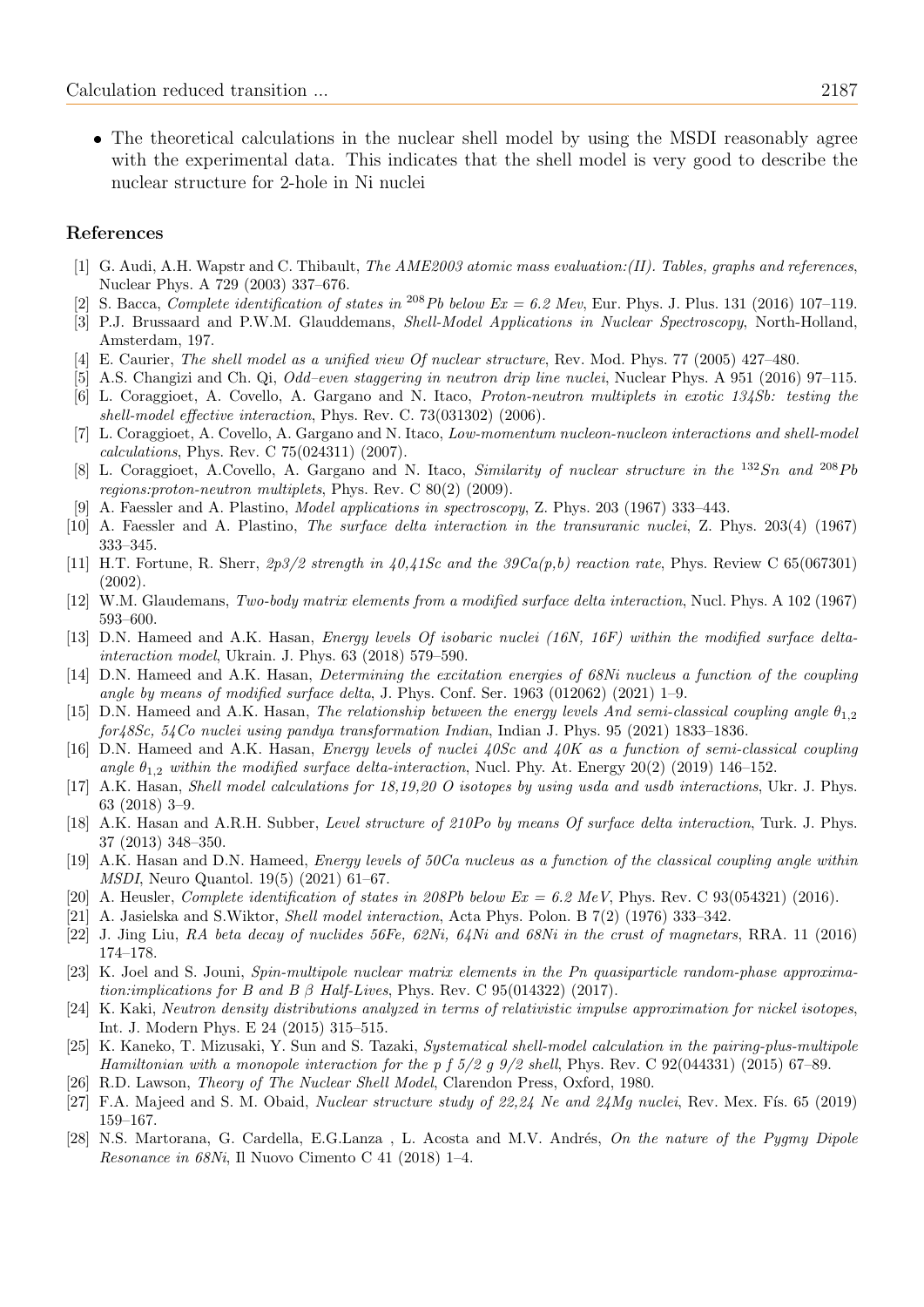The theoretical calculations in the nuclear shell model by using the MSDI reasonably agree with the experimental data. This indicates that the shell model is very good to describe the nuclear structure for 2-hole in Ni nuclei

## References

- <span id="page-6-27"></span>[1] G. Audi, A.H. Wapstr and C. Thibault, *The AME2003 atomic mass evaluation:*(*II). Tables, graphs and references*, Nuclear Phys. A 729 (2003) 337–676.
- <span id="page-6-18"></span>S. Bacca, Complete identification of states in <sup>208</sup>Pb below Ex = 6.2 Mev, Eur. Phys. J. Plus. 131 (2016) 107-119.
- <span id="page-6-21"></span>[3] P.J. Brussaard and P.W.M. Glauddemans, *Shell-Model Applications in Nuclear Spectroscopy*, North-Holland, Amsterdam, 197.
- <span id="page-6-6"></span>[4] E. Caurier, The shell model as a unified view Of nuclear structure, Rev. Mod. Phys. 77 (2005) 427–480.
- <span id="page-6-19"></span>[5] A.S. Changizi and Ch. Qi, Odd–even staggering in neutron drip line nuclei, Nuclear Phys. A 951 (2016) 97–115.
- <span id="page-6-2"></span>[6] L. Coraggioet, A. Covello, A. Gargano and N. Itaco, Proton-neutron multiplets in exotic 134Sb: testing the shell-model effective interaction, Phys. Rev. C. 73(031302) (2006).
- <span id="page-6-3"></span>[7] L. Coraggioet, A. Covello, A. Gargano and N. Itaco, Low-momentum nucleon-nucleon interactions and shell-model calculations, Phys. Rev. C 75(024311) (2007).
- <span id="page-6-4"></span>[8] L. Coraggioet, A.Covello, A. Gargano and N. Itaco, Similarity of nuclear structure in the  $^{132}Sn$  and  $^{208}Pb$ regions:proton-neutron multiplets, Phys. Rev. C 80(2) (2009).
- <span id="page-6-23"></span>[9] A. Faessler and A. Plastino, Model applications in spectroscopy, Z. Phys. 203 (1967) 333–443.
- <span id="page-6-26"></span>[10] A. Faessler and A. Plastino, The surface delta interaction in the transuranic nuclei, Z. Phys. 203(4) (1967) 333–345.
- <span id="page-6-22"></span>[11] H.T. Fortune, R. Sherr,  $2p3/2$  strength in  $40.41$ Sc and the  $39Ca(p, b)$  reaction rate, Phys. Review C 65(067301) (2002).
- <span id="page-6-25"></span>[12] W.M. Glaudemans, Two-body matrix elements from a modified surface delta interaction, Nucl. Phys. A 102 (1967) 593–600.
- <span id="page-6-5"></span>[13] D.N. Hameed and A.K. Hasan, *Energy levels Of isobaric nuclei (16N, 16F) within the modified surface delta*interaction model, Ukrain. J. Phys. 63 (2018) 579–590.
- <span id="page-6-13"></span>[14] D.N. Hameed and A.K. Hasan, Determining the excitation energies of 68Ni nucleus a function of the coupling angle by means of modified surface delta, J. Phys. Conf. Ser.  $1963$  (012062) (2021) 1–9.
- <span id="page-6-14"></span>[15] D.N. Hameed and A.K. Hasan, The relationship between the energy levels And semi-classical coupling angle  $\theta_{1,2}$ for48Sc, 54Co nuclei using pandya transformation Indian, Indian J. Phys. 95 (2021) 1833–1836.
- <span id="page-6-15"></span>[16] D.N. Hameed and A.K. Hasan, Energy levels of nuclei 40Sc and 40K as a function of semi-classical coupling angle  $\theta_{1,2}$  within the modified surface delta-interaction, Nucl. Phy. At. Energy 20(2) (2019) 146–152.
- <span id="page-6-12"></span>[17] A.K. Hasan, Shell model calculations for 18,19,20 O isotopes by using usda and usdb interactions, Ukr. J. Phys. 63 (2018) 3–9.
- <span id="page-6-16"></span>[18] A.K. Hasan and A.R.H. Subber, Level structure of 210Po by means Of surface delta interaction, Turk. J. Phys. 37 (2013) 348–350.
- <span id="page-6-17"></span>[19] A.K. Hasan and D.N. Hameed, Energy levels of 50Ca nucleus as a function of the classical coupling angle within MSDI, Neuro Quantol. 19(5) (2021) 61–67.
- <span id="page-6-7"></span>[20] A. Heusler, Complete identification of states in 208Pb below  $Ex = 6.2$  MeV, Phys. Rev. C 93(054321) (2016).
- <span id="page-6-24"></span>[21] A. Jasielska and S.Wiktor, Shell model interaction, Acta Phys. Polon. B 7(2) (1976) 333–342.
- <span id="page-6-11"></span>[22] J. Jing Liu, RA beta decay of nuclides 56Fe, 62Ni, 64Ni and 68Ni in the crust of magnetars, RRA. 11 (2016) 174–178.
- <span id="page-6-9"></span>[23] K. Joel and S. Jouni, Spin-multipole nuclear matrix elements in the Pn quasiparticle random-phase approximation:implications for B and B  $\beta$  Half-Lives, Phys. Rev. C 95(014322) (2017).
- <span id="page-6-10"></span>[24] K. Kaki, Neutron density distributions analyzed in terms of relativistic impulse approximation for nickel isotopes, Int. J. Modern Phys. E 24 (2015) 315–515.
- <span id="page-6-1"></span>[25] K. Kaneko, T. Mizusaki, Y. Sun and S. Tazaki, Systematical shell-model calculation in the pairing-plus-multipole Hamiltonian with a monopole interaction for the p  $\frac{1}{2}$  f  $\frac{3}{2}$  g  $\frac{9}{2}$  shell, Phys. Rev. C 92(044331) (2015) 67–89.
- <span id="page-6-20"></span>[26] R.D. Lawson, Theory of The Nuclear Shell Model, Clarendon Press, Oxford, 1980.
- <span id="page-6-8"></span>[27] F.A. Majeed and S. M. Obaid, *Nuclear structure study of*  $22.24$  *Ne and*  $24Mq$  *nuclei*, Rev. Mex. Fís. 65 (2019) 159–167.
- <span id="page-6-0"></span>[28] N.S. Martorana, G. Cardella, E.G.Lanza, L. Acosta and M.V. Andrés, On the nature of the Pygmy Dipole Resonance in 68Ni, Il Nuovo Cimento C 41 (2018) 1–4.